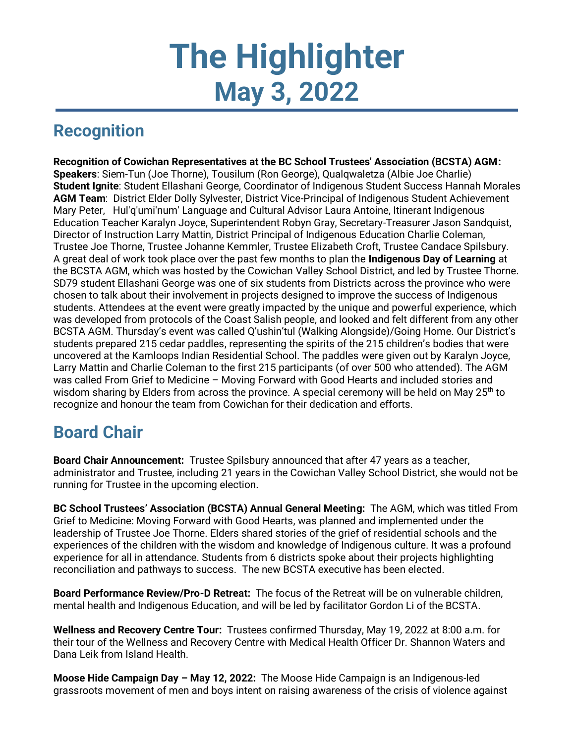# **The Highlighter May 3, 2022**

## **Recognition**

**Recognition of Cowichan Representatives at the BC School Trustees' Association (BCSTA) AGM: Speakers**: Siem-Tun (Joe Thorne), Tousilum (Ron George), Qualqwaletza (Albie Joe Charlie) **Student Ignite**: Student Ellashani George, Coordinator of Indigenous Student Success Hannah Morales **AGM Team**: District Elder Dolly Sylvester, District Vice-Principal of Indigenous Student Achievement Mary Peter, Hul'q'umi'num' Language and Cultural Advisor Laura Antoine, Itinerant Indigenous Education Teacher Karalyn Joyce, Superintendent Robyn Gray, Secretary-Treasurer Jason Sandquist, Director of Instruction Larry Mattin, District Principal of Indigenous Education Charlie Coleman, Trustee Joe Thorne, Trustee Johanne Kemmler, Trustee Elizabeth Croft, Trustee Candace Spilsbury. A great deal of work took place over the past few months to plan the **Indigenous Day of Learning** at the BCSTA AGM, which was hosted by the Cowichan Valley School District, and led by Trustee Thorne. SD79 student Ellashani George was one of six students from Districts across the province who were chosen to talk about their involvement in projects designed to improve the success of Indigenous students. Attendees at the event were greatly impacted by the unique and powerful experience, which was developed from protocols of the Coast Salish people, and looked and felt different from any other BCSTA AGM. Thursday's event was called Q'ushin'tul (Walking Alongside)/Going Home. Our District's students prepared 215 cedar paddles, representing the spirits of the 215 children's bodies that were uncovered at the Kamloops Indian Residential School. The paddles were given out by Karalyn Joyce, Larry Mattin and Charlie Coleman to the first 215 participants (of over 500 who attended). The AGM was called From Grief to Medicine – Moving Forward with Good Hearts and included stories and wisdom sharing by Elders from across the province. A special ceremony will be held on May  $25<sup>th</sup>$  to recognize and honour the team from Cowichan for their dedication and efforts.

## **Board Chair**

**Board Chair Announcement:** Trustee Spilsbury announced that after 47 years as a teacher, administrator and Trustee, including 21 years in the Cowichan Valley School District, she would not be running for Trustee in the upcoming election.

**BC School Trustees' Association (BCSTA) Annual General Meeting:** The AGM, which was titled From Grief to Medicine: Moving Forward with Good Hearts, was planned and implemented under the leadership of Trustee Joe Thorne. Elders shared stories of the grief of residential schools and the experiences of the children with the wisdom and knowledge of Indigenous culture. It was a profound experience for all in attendance. Students from 6 districts spoke about their projects highlighting reconciliation and pathways to success. The new BCSTA executive has been elected.

**Board Performance Review/Pro-D Retreat:** The focus of the Retreat will be on vulnerable children, mental health and Indigenous Education, and will be led by facilitator Gordon Li of the BCSTA.

**Wellness and Recovery Centre Tour:** Trustees confirmed Thursday, May 19, 2022 at 8:00 a.m. for their tour of the Wellness and Recovery Centre with Medical Health Officer Dr. Shannon Waters and Dana Leik from Island Health.

**Moose Hide Campaign Day – May 12, 2022:** The Moose Hide Campaign is an Indigenous-led grassroots movement of men and boys intent on raising awareness of the crisis of violence against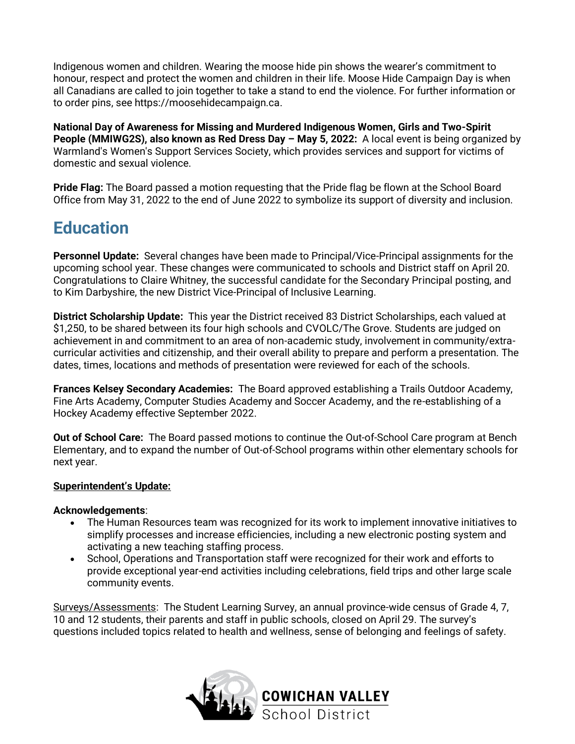Indigenous women and children. Wearing the moose hide pin shows the wearer's commitment to honour, respect and protect the women and children in their life. Moose Hide Campaign Day is when all Canadians are called to join together to take a stand to end the violence. For further information or to order pins, see https://moosehidecampaign.ca.

**National Day of Awareness for Missing and Murdered Indigenous Women, Girls and Two-Spirit People (MMIWG2S), also known as Red Dress Day – May 5, 2022:** A local event is being organized by Warmland's Women's Support Services Society, which provides services and support for victims of domestic and sexual violence.

**Pride Flag:** The Board passed a motion requesting that the Pride flag be flown at the School Board Office from May 31, 2022 to the end of June 2022 to symbolize its support of diversity and inclusion.

## **Education**

**Personnel Update:** Several changes have been made to Principal/Vice-Principal assignments for the upcoming school year. These changes were communicated to schools and District staff on April 20. Congratulations to Claire Whitney, the successful candidate for the Secondary Principal posting, and to Kim Darbyshire, the new District Vice-Principal of Inclusive Learning.

**District Scholarship Update:** This year the District received 83 District Scholarships, each valued at \$1,250, to be shared between its four high schools and CVOLC/The Grove. Students are judged on achievement in and commitment to an area of non-academic study, involvement in community/extracurricular activities and citizenship, and their overall ability to prepare and perform a presentation. The dates, times, locations and methods of presentation were reviewed for each of the schools.

**Frances Kelsey Secondary Academies:** The Board approved establishing a Trails Outdoor Academy, Fine Arts Academy, Computer Studies Academy and Soccer Academy, and the re-establishing of a Hockey Academy effective September 2022.

**Out of School Care:** The Board passed motions to continue the Out-of-School Care program at Bench Elementary, and to expand the number of Out-of-School programs within other elementary schools for next year.

#### **Superintendent's Update:**

#### **Acknowledgements**:

- The Human Resources team was recognized for its work to implement innovative initiatives to simplify processes and increase efficiencies, including a new electronic posting system and activating a new teaching staffing process.
- School, Operations and Transportation staff were recognized for their work and efforts to provide exceptional year-end activities including celebrations, field trips and other large scale community events.

Surveys/Assessments: The Student Learning Survey, an annual province-wide census of Grade 4, 7, 10 and 12 students, their parents and staff in public schools, closed on April 29. The survey's questions included topics related to health and wellness, sense of belonging and feelings of safety.

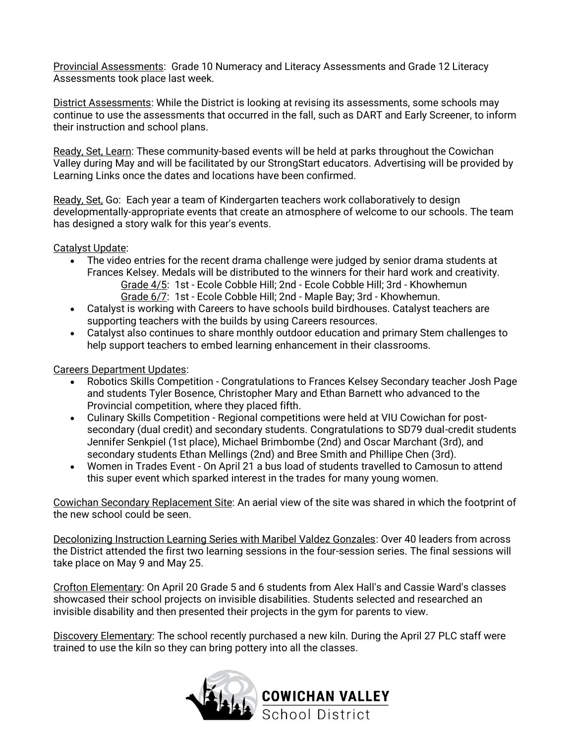Provincial Assessments: Grade 10 Numeracy and Literacy Assessments and Grade 12 Literacy Assessments took place last week.

District Assessments: While the District is looking at revising its assessments, some schools may continue to use the assessments that occurred in the fall, such as DART and Early Screener, to inform their instruction and school plans.

Ready, Set, Learn: These community-based events will be held at parks throughout the Cowichan Valley during May and will be facilitated by our StrongStart educators. Advertising will be provided by Learning Links once the dates and locations have been confirmed.

Ready, Set, Go: Each year a team of Kindergarten teachers work collaboratively to design developmentally-appropriate events that create an atmosphere of welcome to our schools. The team has designed a story walk for this year's events.

Catalyst Update:

- The video entries for the recent drama challenge were judged by senior drama students at Frances Kelsey. Medals will be distributed to the winners for their hard work and creativity. Grade 4/5: 1st - Ecole Cobble Hill; 2nd - Ecole Cobble Hill; 3rd - Khowhemun Grade 6/7: 1st - Ecole Cobble Hill; 2nd - Maple Bay; 3rd - Khowhemun.
- Catalyst is working with Careers to have schools build birdhouses. Catalyst teachers are supporting teachers with the builds by using Careers resources.
- Catalyst also continues to share monthly outdoor education and primary Stem challenges to help support teachers to embed learning enhancement in their classrooms.

Careers Department Updates:

- Robotics Skills Competition Congratulations to Frances Kelsey Secondary teacher Josh Page and students Tyler Bosence, Christopher Mary and Ethan Barnett who advanced to the Provincial competition, where they placed fifth.
- Culinary Skills Competition Regional competitions were held at VIU Cowichan for postsecondary (dual credit) and secondary students. Congratulations to SD79 dual-credit students Jennifer Senkpiel (1st place), Michael Brimbombe (2nd) and Oscar Marchant (3rd), and secondary students Ethan Mellings (2nd) and Bree Smith and Phillipe Chen (3rd).
- Women in Trades Event On April 21 a bus load of students travelled to Camosun to attend this super event which sparked interest in the trades for many young women.

Cowichan Secondary Replacement Site: An aerial view of the site was shared in which the footprint of the new school could be seen.

Decolonizing Instruction Learning Series with Maribel Valdez Gonzales: Over 40 leaders from across the District attended the first two learning sessions in the four-session series. The final sessions will take place on May 9 and May 25.

Crofton Elementary: On April 20 Grade 5 and 6 students from Alex Hall's and Cassie Ward's classes showcased their school projects on invisible disabilities. Students selected and researched an invisible disability and then presented their projects in the gym for parents to view.

Discovery Elementary: The school recently purchased a new kiln. During the April 27 PLC staff were trained to use the kiln so they can bring pottery into all the classes.

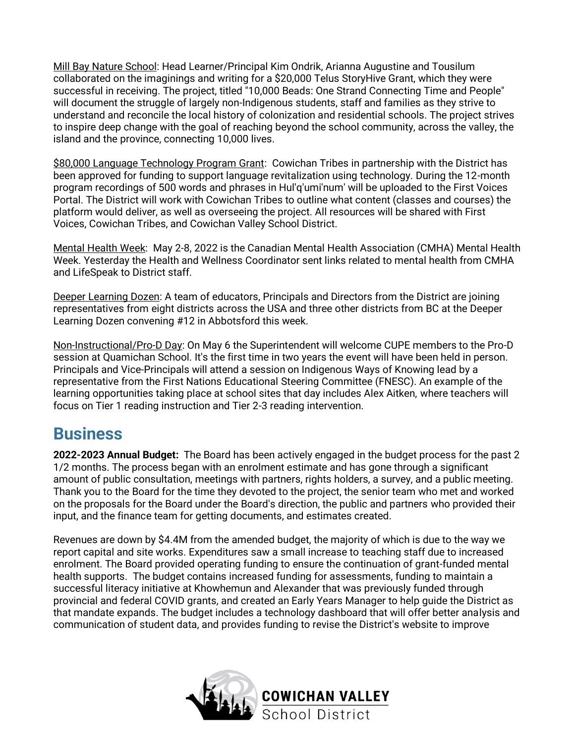Mill Bay Nature School: Head Learner/Principal Kim Ondrik, Arianna Augustine and Tousilum collaborated on the imaginings and writing for a \$20,000 Telus StoryHive Grant, which they were successful in receiving. The project, titled "10,000 Beads: One Strand Connecting Time and People" will document the struggle of largely non-Indigenous students, staff and families as they strive to understand and reconcile the local history of colonization and residential schools. The project strives to inspire deep change with the goal of reaching beyond the school community, across the valley, the island and the province, connecting 10,000 lives.

\$80,000 Language Technology Program Grant: Cowichan Tribes in partnership with the District has been approved for funding to support language revitalization using technology. During the 12-month program recordings of 500 words and phrases in Hul'q'umi'num' will be uploaded to the First Voices Portal. The District will work with Cowichan Tribes to outline what content (classes and courses) the platform would deliver, as well as overseeing the project. All resources will be shared with First Voices, Cowichan Tribes, and Cowichan Valley School District.

Mental Health Week: May 2-8, 2022 is the Canadian Mental Health Association (CMHA) Mental Health Week. Yesterday the Health and Wellness Coordinator sent links related to mental health from CMHA and LifeSpeak to District staff.

Deeper Learning Dozen: A team of educators, Principals and Directors from the District are joining representatives from eight districts across the USA and three other districts from BC at the Deeper Learning Dozen convening #12 in Abbotsford this week.

Non-Instructional/Pro-D Day: On May 6 the Superintendent will welcome CUPE members to the Pro-D session at Quamichan School. It's the first time in two years the event will have been held in person. Principals and Vice-Principals will attend a session on Indigenous Ways of Knowing lead by a representative from the First Nations Educational Steering Committee (FNESC). An example of the learning opportunities taking place at school sites that day includes Alex Aitken, where teachers will focus on Tier 1 reading instruction and Tier 2-3 reading intervention.

### **Business**

**2022-2023 Annual Budget:** The Board has been actively engaged in the budget process for the past 2 1/2 months. The process began with an enrolment estimate and has gone through a significant amount of public consultation, meetings with partners, rights holders, a survey, and a public meeting. Thank you to the Board for the time they devoted to the project, the senior team who met and worked on the proposals for the Board under the Board's direction, the public and partners who provided their input, and the finance team for getting documents, and estimates created.

Revenues are down by \$4.4M from the amended budget, the majority of which is due to the way we report capital and site works. Expenditures saw a small increase to teaching staff due to increased enrolment. The Board provided operating funding to ensure the continuation of grant-funded mental health supports. The budget contains increased funding for assessments, funding to maintain a successful literacy initiative at Khowhemun and Alexander that was previously funded through provincial and federal COVID grants, and created an Early Years Manager to help guide the District as that mandate expands. The budget includes a technology dashboard that will offer better analysis and communication of student data, and provides funding to revise the District's website to improve